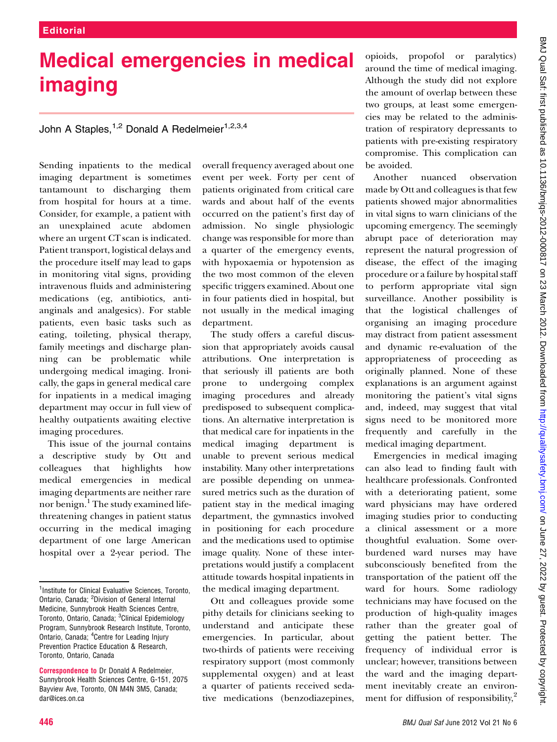## Medical emergencies in medical imaging

John A Staples,<sup>1,2</sup> Donald A Redelmeier<sup>1,2,3,4</sup>

Sending inpatients to the medical imaging department is sometimes tantamount to discharging them from hospital for hours at a time. Consider, for example, a patient with an unexplained acute abdomen where an urgent CT scan is indicated. Patient transport, logistical delays and the procedure itself may lead to gaps in monitoring vital signs, providing intravenous fluids and administering medications (eg, antibiotics, antianginals and analgesics). For stable patients, even basic tasks such as eating, toileting, physical therapy, family meetings and discharge planning can be problematic while undergoing medical imaging. Ironically, the gaps in general medical care for inpatients in a medical imaging department may occur in full view of healthy outpatients awaiting elective imaging procedures.

This issue of the journal contains a descriptive study by Ott and colleagues that highlights how medical emergencies in medical imaging departments are neither rare nor benign.<sup>1</sup> The study examined lifethreatening changes in patient status occurring in the medical imaging department of one large American hospital over a 2-year period. The

overall frequency averaged about one event per week. Forty per cent of patients originated from critical care wards and about half of the events occurred on the patient's first day of admission. No single physiologic change was responsible for more than a quarter of the emergency events, with hypoxaemia or hypotension as the two most common of the eleven specific triggers examined. About one in four patients died in hospital, but not usually in the medical imaging department.

The study offers a careful discussion that appropriately avoids causal attributions. One interpretation is that seriously ill patients are both prone to undergoing complex imaging procedures and already predisposed to subsequent complications. An alternative interpretation is that medical care for inpatients in the medical imaging department is unable to prevent serious medical instability. Many other interpretations are possible depending on unmeasured metrics such as the duration of patient stay in the medical imaging department, the gymnastics involved in positioning for each procedure and the medications used to optimise image quality. None of these interpretations would justify a complacent attitude towards hospital inpatients in the medical imaging department.

Ott and colleagues provide some pithy details for clinicians seeking to understand and anticipate these emergencies. In particular, about two-thirds of patients were receiving respiratory support (most commonly supplemental oxygen) and at least a quarter of patients received sedative medications (benzodiazepines,

opioids, propofol or paralytics) around the time of medical imaging. Although the study did not explore the amount of overlap between these two groups, at least some emergencies may be related to the administration of respiratory depressants to patients with pre-existing respiratory compromise. This complication can be avoided.

Another nuanced observation made by Ott and colleagues is that few patients showed major abnormalities in vital signs to warn clinicians of the upcoming emergency. The seemingly abrupt pace of deterioration may represent the natural progression of disease, the effect of the imaging procedure or a failure by hospital staff to perform appropriate vital sign surveillance. Another possibility is that the logistical challenges of organising an imaging procedure may distract from patient assessment and dynamic re-evaluation of the appropriateness of proceeding as originally planned. None of these explanations is an argument against monitoring the patient's vital signs and, indeed, may suggest that vital signs need to be monitored more frequently and carefully in the medical imaging department.

Emergencies in medical imaging can also lead to finding fault with healthcare professionals. Confronted with a deteriorating patient, some ward physicians may have ordered imaging studies prior to conducting a clinical assessment or a more thoughtful evaluation. Some overburdened ward nurses may have subconsciously benefited from the transportation of the patient off the ward for hours. Some radiology technicians may have focused on the production of high-quality images rather than the greater goal of getting the patient better. The frequency of individual error is unclear; however, transitions between the ward and the imaging department inevitably create an environment for diffusion of responsibility, $\frac{2}{3}$ 

<sup>&</sup>lt;sup>1</sup>Institute for Clinical Evaluative Sciences, Toronto, Ontario, Canada; <sup>2</sup>Division of General Internal Medicine, Sunnybrook Health Sciences Centre, Toronto, Ontario, Canada; <sup>3</sup>Clinical Epidemiology Program, Sunnybrook Research Institute, Toronto, Ontario, Canada; <sup>4</sup>Centre for Leading Injury Prevention Practice Education & Research, Toronto, Ontario, Canada

Correspondence to Dr Donald A Redelmeier, Sunnybrook Health Sciences Centre, G-151, 2075 Bayview Ave, Toronto, ON M4N 3M5, Canada; dar@ices.on.ca